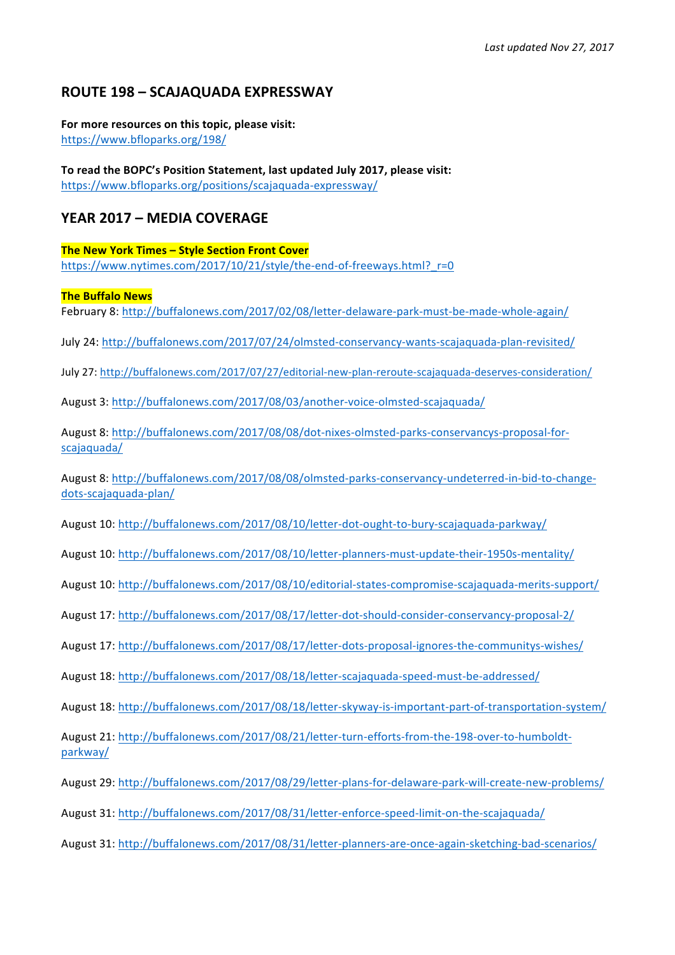# **ROUTE 198 – SCAJAQUADA EXPRESSWAY**

#### For more resources on this topic, please visit: https://www.bfloparks.org/198/

To read the BOPC's Position Statement, last updated July 2017, please visit: https://www.bfloparks.org/positions/scajaquada-expressway/

## **YEAR 2017 – MEDIA COVERAGE**

**The New York Times - Style Section Front Cover** https://www.nytimes.com/2017/10/21/style/the-end-of-freeways.html?\_r=0

## **The Buffalo News**

February 8: http://buffalonews.com/2017/02/08/letter-delaware-park-must-be-made-whole-again/

- July 24: http://buffalonews.com/2017/07/24/olmsted-conservancy-wants-scajaquada-plan-revisited/
- July 27: http://buffalonews.com/2017/07/27/editorial-new-plan-reroute-scajaquada-deserves-consideration/

August 3: http://buffalonews.com/2017/08/03/another-voice-olmsted-scajaquada/

August 8: http://buffalonews.com/2017/08/08/dot-nixes-olmsted-parks-conservancys-proposal-forscajaquada/

August 8: http://buffalonews.com/2017/08/08/olmsted-parks-conservancy-undeterred-in-bid-to-changedots-scajaquada-plan/

August 10: http://buffalonews.com/2017/08/10/letter-dot-ought-to-bury-scajaquada-parkway/

August 10: http://buffalonews.com/2017/08/10/letter-planners-must-update-their-1950s-mentality/

August 10: http://buffalonews.com/2017/08/10/editorial-states-compromise-scajaquada-merits-support/

August 17: http://buffalonews.com/2017/08/17/letter-dot-should-consider-conservancy-proposal-2/

August 17: http://buffalonews.com/2017/08/17/letter-dots-proposal-ignores-the-communitys-wishes/

August 18: http://buffalonews.com/2017/08/18/letter-scajaquada-speed-must-be-addressed/

August 18: http://buffalonews.com/2017/08/18/letter-skyway-is-important-part-of-transportation-system/

August 21: http://buffalonews.com/2017/08/21/letter-turn-efforts-from-the-198-over-to-humboldtparkway/

- August 29: http://buffalonews.com/2017/08/29/letter-plans-for-delaware-park-will-create-new-problems/
- August 31: http://buffalonews.com/2017/08/31/letter-enforce-speed-limit-on-the-scajaquada/
- August 31: http://buffalonews.com/2017/08/31/letter-planners-are-once-again-sketching-bad-scenarios/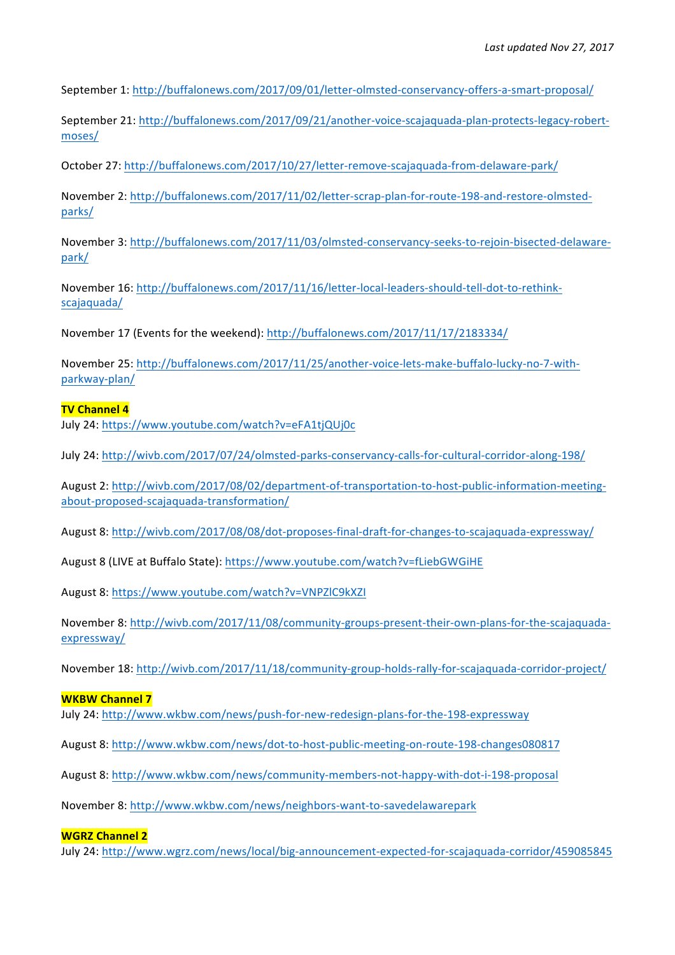September 1: http://buffalonews.com/2017/09/01/letter-olmsted-conservancy-offers-a-smart-proposal/

September 21: http://buffalonews.com/2017/09/21/another-voice-scajaquada-plan-protects-legacy-robertmoses/

October 27: http://buffalonews.com/2017/10/27/letter-remove-scajaquada-from-delaware-park/

November 2: http://buffalonews.com/2017/11/02/letter-scrap-plan-for-route-198-and-restore-olmstedparks/

November 3: http://buffalonews.com/2017/11/03/olmsted-conservancy-seeks-to-rejoin-bisected-delawarepark/

November 16: http://buffalonews.com/2017/11/16/letter-local-leaders-should-tell-dot-to-rethinkscajaquada/

November 17 (Events for the weekend): http://buffalonews.com/2017/11/17/2183334/

November 25: http://buffalonews.com/2017/11/25/another-voice-lets-make-buffalo-lucky-no-7-withparkway-plan/

## **TV Channel 4**

July 24: https://www.youtube.com/watch?v=eFA1tjQUj0c

July 24: http://wivb.com/2017/07/24/olmsted-parks-conservancy-calls-for-cultural-corridor-along-198/

August 2: http://wivb.com/2017/08/02/department-of-transportation-to-host-public-information-meetingabout-proposed-scajaquada-transformation/

August 8: http://wivb.com/2017/08/08/dot-proposes-final-draft-for-changes-to-scajaquada-expressway/

August 8 (LIVE at Buffalo State): https://www.youtube.com/watch?v=fLiebGWGiHE

August 8: https://www.youtube.com/watch?v=VNPZlC9kXZI

November 8: http://wivb.com/2017/11/08/community-groups-present-their-own-plans-for-the-scajaquadaexpressway/

November 18: http://wivb.com/2017/11/18/community-group-holds-rally-for-scajaquada-corridor-project/

#### **WKBW Channel 7**

July 24: http://www.wkbw.com/news/push-for-new-redesign-plans-for-the-198-expressway

August 8: http://www.wkbw.com/news/dot-to-host-public-meeting-on-route-198-changes080817

August 8: http://www.wkbw.com/news/community-members-not-happy-with-dot-i-198-proposal

November 8: http://www.wkbw.com/news/neighbors-want-to-savedelawarepark

### **WGRZ Channel 2**

July 24: http://www.wgrz.com/news/local/big-announcement-expected-for-scajaquada-corridor/459085845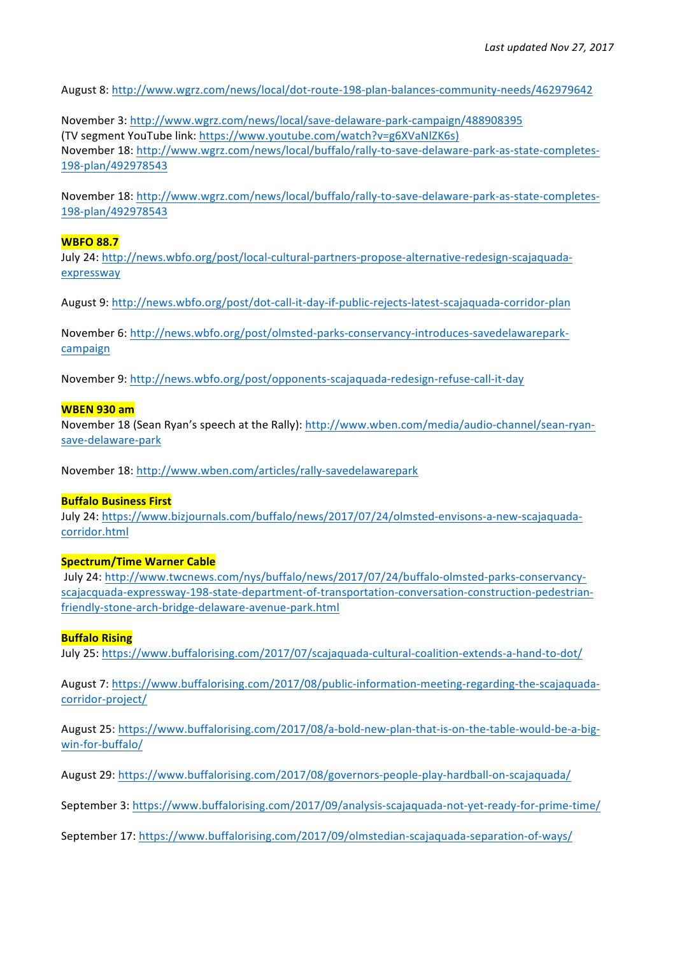August 8: http://www.wgrz.com/news/local/dot-route-198-plan-balances-community-needs/462979642

November 3: http://www.wgrz.com/news/local/save-delaware-park-campaign/488908395 (TV segment YouTube link: https://www.youtube.com/watch?v=g6XVaNlZK6s) November 18: http://www.wgrz.com/news/local/buffalo/rally-to-save-delaware-park-as-state-completes-198-plan/492978543

November 18: http://www.wgrz.com/news/local/buffalo/rally-to-save-delaware-park-as-state-completes-198-plan/492978543

### **WBFO 88.7**

July 24: http://news.wbfo.org/post/local-cultural-partners-propose-alternative-redesign-scajaquadaexpressway

August 9: http://news.wbfo.org/post/dot-call-it-day-if-public-rejects-latest-scajaquada-corridor-plan

November 6: http://news.wbfo.org/post/olmsted-parks-conservancy-introduces-savedelawareparkcampaign

November 9: http://news.wbfo.org/post/opponents-scajaquada-redesign-refuse-call-it-day

#### **WBEN 930 am**

November 18 (Sean Ryan's speech at the Rally): http://www.wben.com/media/audio-channel/sean-ryansave-delaware-park

November 18: http://www.wben.com/articles/rally-savedelawarepark

#### **Buffalo Business First**

July 24: https://www.bizjournals.com/buffalo/news/2017/07/24/olmsted-envisons-a-new-scajaquadacorridor.html

#### **Spectrum/Time Warner Cable**

July 24: http://www.twcnews.com/nys/buffalo/news/2017/07/24/buffalo-olmsted-parks-conservancyscajacquada-expressway-198-state-department-of-transportation-conversation-construction-pedestrianfriendly-stone-arch-bridge-delaware-avenue-park.html

#### **Buffalo Rising**

July 25: https://www.buffalorising.com/2017/07/scajaquada-cultural-coalition-extends-a-hand-to-dot/

August 7: https://www.buffalorising.com/2017/08/public-information-meeting-regarding-the-scajaquadacorridor-project/

August 25: https://www.buffalorising.com/2017/08/a-bold-new-plan-that-is-on-the-table-would-be-a-bigwin-for-buffalo/

August 29: https://www.buffalorising.com/2017/08/governors-people-play-hardball-on-scajaquada/

September 3: https://www.buffalorising.com/2017/09/analysis-scajaquada-not-yet-ready-for-prime-time/

September 17: https://www.buffalorising.com/2017/09/olmstedian-scajaquada-separation-of-ways/